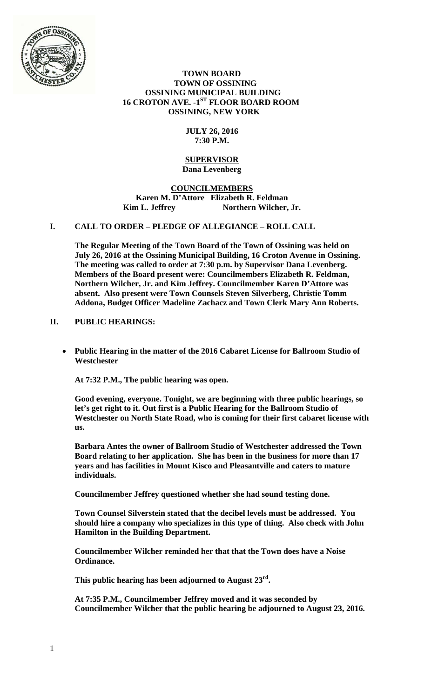

# **TOWN BOARD TOWN OF OSSINING OSSINING MUNICIPAL BUILDING 16 CROTON AVE. -1ST FLOOR BOARD ROOM OSSINING, NEW YORK**

# **JULY 26, 2016 7:30 P.M.**

#### **SUPERVISOR Dana Levenberg**

# **COUNCILMEMBERS Karen M. D'Attore Elizabeth R. Feldman**  Kim L. Jeffrey Northern Wilcher, Jr.

# **I. CALL TO ORDER – PLEDGE OF ALLEGIANCE – ROLL CALL**

**The Regular Meeting of the Town Board of the Town of Ossining was held on July 26, 2016 at the Ossining Municipal Building, 16 Croton Avenue in Ossining. The meeting was called to order at 7:30 p.m. by Supervisor Dana Levenberg. Members of the Board present were: Councilmembers Elizabeth R. Feldman, Northern Wilcher, Jr. and Kim Jeffrey. Councilmember Karen D'Attore was absent. Also present were Town Counsels Steven Silverberg, Christie Tomm Addona, Budget Officer Madeline Zachacz and Town Clerk Mary Ann Roberts.** 

# **II. PUBLIC HEARINGS:**

 **Public Hearing in the matter of the 2016 Cabaret License for Ballroom Studio of Westchester** 

**At 7:32 P.M., The public hearing was open.** 

**Good evening, everyone. Tonight, we are beginning with three public hearings, so let's get right to it. Out first is a Public Hearing for the Ballroom Studio of Westchester on North State Road, who is coming for their first cabaret license with us.** 

**Barbara Antes the owner of Ballroom Studio of Westchester addressed the Town Board relating to her application. She has been in the business for more than 17 years and has facilities in Mount Kisco and Pleasantville and caters to mature individuals.** 

**Councilmember Jeffrey questioned whether she had sound testing done.** 

**Town Counsel Silverstein stated that the decibel levels must be addressed. You should hire a company who specializes in this type of thing. Also check with John Hamilton in the Building Department.** 

**Councilmember Wilcher reminded her that that the Town does have a Noise Ordinance.** 

**This public hearing has been adjourned to August 23rd.** 

**At 7:35 P.M., Councilmember Jeffrey moved and it was seconded by Councilmember Wilcher that the public hearing be adjourned to August 23, 2016.**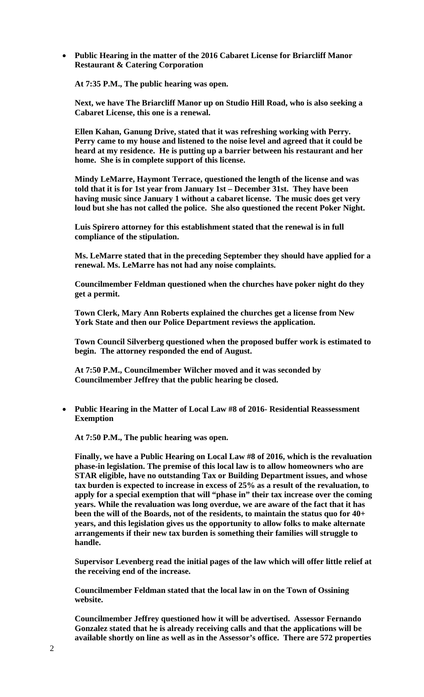**Public Hearing in the matter of the 2016 Cabaret License for Briarcliff Manor Restaurant & Catering Corporation** 

**At 7:35 P.M., The public hearing was open.** 

**Next, we have The Briarcliff Manor up on Studio Hill Road, who is also seeking a Cabaret License, this one is a renewal.** 

**Ellen Kahan, Ganung Drive, stated that it was refreshing working with Perry. Perry came to my house and listened to the noise level and agreed that it could be heard at my residence. He is putting up a barrier between his restaurant and her home. She is in complete support of this license.** 

**Mindy LeMarre, Haymont Terrace, questioned the length of the license and was told that it is for 1st year from January 1st – December 31st. They have been having music since January 1 without a cabaret license. The music does get very loud but she has not called the police. She also questioned the recent Poker Night.** 

**Luis Spirero attorney for this establishment stated that the renewal is in full compliance of the stipulation.** 

**Ms. LeMarre stated that in the preceding September they should have applied for a renewal. Ms. LeMarre has not had any noise complaints.** 

**Councilmember Feldman questioned when the churches have poker night do they get a permit.** 

**Town Clerk, Mary Ann Roberts explained the churches get a license from New York State and then our Police Department reviews the application.** 

**Town Council Silverberg questioned when the proposed buffer work is estimated to begin. The attorney responded the end of August.** 

**At 7:50 P.M., Councilmember Wilcher moved and it was seconded by Councilmember Jeffrey that the public hearing be closed.** 

 **Public Hearing in the Matter of Local Law #8 of 2016- Residential Reassessment Exemption** 

**At 7:50 P.M., The public hearing was open.** 

**Finally, we have a Public Hearing on Local Law #8 of 2016, which is the revaluation phase-in legislation. The premise of this local law is to allow homeowners who are STAR eligible, have no outstanding Tax or Building Department issues, and whose tax burden is expected to increase in excess of 25% as a result of the revaluation, to apply for a special exemption that will "phase in" their tax increase over the coming years. While the revaluation was long overdue, we are aware of the fact that it has been the will of the Boards, not of the residents, to maintain the status quo for 40+ years, and this legislation gives us the opportunity to allow folks to make alternate arrangements if their new tax burden is something their families will struggle to handle.** 

**Supervisor Levenberg read the initial pages of the law which will offer little relief at the receiving end of the increase.** 

**Councilmember Feldman stated that the local law in on the Town of Ossining website.** 

**Councilmember Jeffrey questioned how it will be advertised. Assessor Fernando Gonzalez stated that he is already receiving calls and that the applications will be available shortly on line as well as in the Assessor's office. There are 572 properties**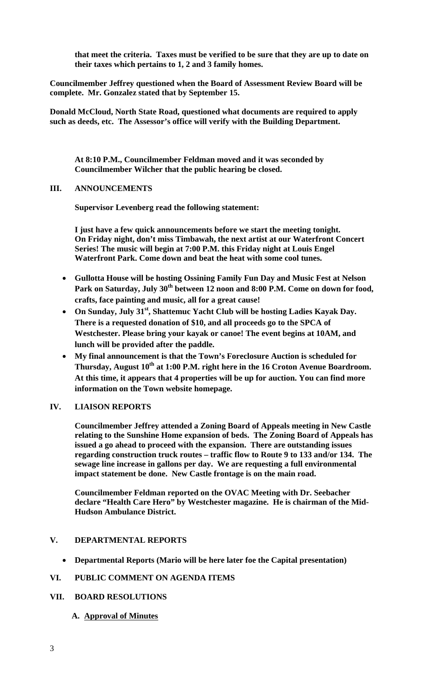**that meet the criteria. Taxes must be verified to be sure that they are up to date on their taxes which pertains to 1, 2 and 3 family homes.** 

**Councilmember Jeffrey questioned when the Board of Assessment Review Board will be complete. Mr. Gonzalez stated that by September 15.** 

**Donald McCloud, North State Road, questioned what documents are required to apply such as deeds, etc. The Assessor's office will verify with the Building Department.** 

**At 8:10 P.M., Councilmember Feldman moved and it was seconded by Councilmember Wilcher that the public hearing be closed.** 

#### **III. ANNOUNCEMENTS**

**Supervisor Levenberg read the following statement:** 

**I just have a few quick announcements before we start the meeting tonight. On Friday night, don't miss Timbawah, the next artist at our Waterfront Concert Series! The music will begin at 7:00 P.M. this Friday night at Louis Engel Waterfront Park. Come down and beat the heat with some cool tunes.** 

- **Gullotta House will be hosting Ossining Family Fun Day and Music Fest at Nelson Park on Saturday, July 30th between 12 noon and 8:00 P.M. Come on down for food, crafts, face painting and music, all for a great cause!**
- **On Sunday, July 31st, Shattemuc Yacht Club will be hosting Ladies Kayak Day. There is a requested donation of \$10, and all proceeds go to the SPCA of Westchester. Please bring your kayak or canoe! The event begins at 10AM, and lunch will be provided after the paddle.**
- **My final announcement is that the Town's Foreclosure Auction is scheduled for Thursday, August 10th at 1:00 P.M. right here in the 16 Croton Avenue Boardroom. At this time, it appears that 4 properties will be up for auction. You can find more information on the Town website homepage.**

# **IV. LIAISON REPORTS**

**Councilmember Jeffrey attended a Zoning Board of Appeals meeting in New Castle relating to the Sunshine Home expansion of beds. The Zoning Board of Appeals has issued a go ahead to proceed with the expansion. There are outstanding issues regarding construction truck routes – traffic flow to Route 9 to 133 and/or 134. The sewage line increase in gallons per day. We are requesting a full environmental impact statement be done. New Castle frontage is on the main road.** 

**Councilmember Feldman reported on the OVAC Meeting with Dr. Seebacher declare "Health Care Hero" by Westchester magazine. He is chairman of the Mid-Hudson Ambulance District.** 

# **V. DEPARTMENTAL REPORTS**

**Departmental Reports (Mario will be here later foe the Capital presentation)** 

# **VI. PUBLIC COMMENT ON AGENDA ITEMS**

# **VII. BOARD RESOLUTIONS**

**A. Approval of Minutes**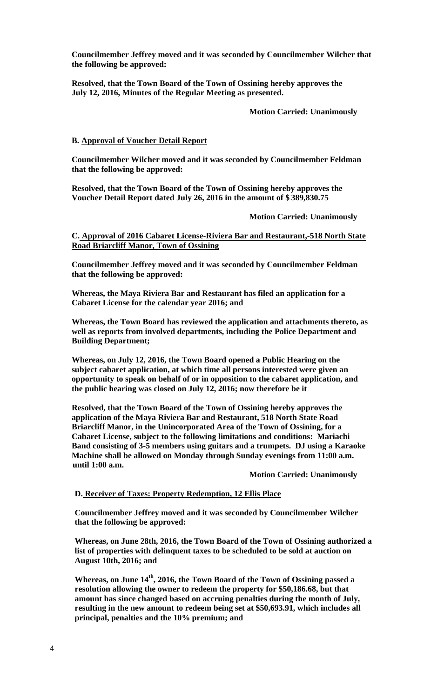**Councilmember Jeffrey moved and it was seconded by Councilmember Wilcher that the following be approved:** 

**Resolved, that the Town Board of the Town of Ossining hereby approves the July 12, 2016, Minutes of the Regular Meeting as presented.** 

 **Motion Carried: Unanimously** 

#### **B. Approval of Voucher Detail Report**

**Councilmember Wilcher moved and it was seconded by Councilmember Feldman that the following be approved:** 

**Resolved, that the Town Board of the Town of Ossining hereby approves the Voucher Detail Report dated July 26, 2016 in the amount of \$ 389,830.75** 

 **Motion Carried: Unanimously** 

**C. Approval of 2016 Cabaret License-Riviera Bar and Restaurant,-518 North State Road Briarcliff Manor, Town of Ossining** 

**Councilmember Jeffrey moved and it was seconded by Councilmember Feldman that the following be approved:** 

**Whereas, the Maya Riviera Bar and Restaurant has filed an application for a Cabaret License for the calendar year 2016; and** 

**Whereas, the Town Board has reviewed the application and attachments thereto, as well as reports from involved departments, including the Police Department and Building Department;** 

**Whereas, on July 12, 2016, the Town Board opened a Public Hearing on the subject cabaret application, at which time all persons interested were given an opportunity to speak on behalf of or in opposition to the cabaret application, and the public hearing was closed on July 12, 2016; now therefore be it** 

**Resolved, that the Town Board of the Town of Ossining hereby approves the application of the Maya Riviera Bar and Restaurant, 518 North State Road Briarcliff Manor, in the Unincorporated Area of the Town of Ossining, for a Cabaret License, subject to the following limitations and conditions: Mariachi Band consisting of 3-5 members using guitars and a trumpets. DJ using a Karaoke Machine shall be allowed on Monday through Sunday evenings from 11:00 a.m. until 1:00 a.m.** 

 **Motion Carried: Unanimously** 

#### **D. Receiver of Taxes: Property Redemption, 12 Ellis Place**

**Councilmember Jeffrey moved and it was seconded by Councilmember Wilcher that the following be approved:** 

**Whereas, on June 28th, 2016, the Town Board of the Town of Ossining authorized a list of properties with delinquent taxes to be scheduled to be sold at auction on August 10th, 2016; and** 

**Whereas, on June 14th, 2016, the Town Board of the Town of Ossining passed a resolution allowing the owner to redeem the property for \$50,186.68, but that amount has since changed based on accruing penalties during the month of July, resulting in the new amount to redeem being set at \$50,693.91, which includes all principal, penalties and the 10% premium; and**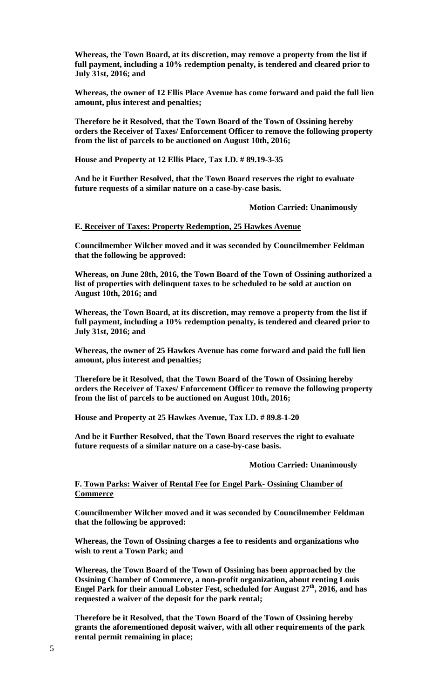**Whereas, the Town Board, at its discretion, may remove a property from the list if full payment, including a 10% redemption penalty, is tendered and cleared prior to July 31st, 2016; and** 

**Whereas, the owner of 12 Ellis Place Avenue has come forward and paid the full lien amount, plus interest and penalties;** 

**Therefore be it Resolved, that the Town Board of the Town of Ossining hereby orders the Receiver of Taxes/ Enforcement Officer to remove the following property from the list of parcels to be auctioned on August 10th, 2016;** 

**House and Property at 12 Ellis Place, Tax I.D. # 89.19-3-35** 

**And be it Further Resolved, that the Town Board reserves the right to evaluate future requests of a similar nature on a case-by-case basis.** 

 **Motion Carried: Unanimously** 

**E. Receiver of Taxes: Property Redemption, 25 Hawkes Avenue**

**Councilmember Wilcher moved and it was seconded by Councilmember Feldman that the following be approved:** 

**Whereas, on June 28th, 2016, the Town Board of the Town of Ossining authorized a list of properties with delinquent taxes to be scheduled to be sold at auction on August 10th, 2016; and** 

**Whereas, the Town Board, at its discretion, may remove a property from the list if full payment, including a 10% redemption penalty, is tendered and cleared prior to July 31st, 2016; and** 

**Whereas, the owner of 25 Hawkes Avenue has come forward and paid the full lien amount, plus interest and penalties;** 

**Therefore be it Resolved, that the Town Board of the Town of Ossining hereby orders the Receiver of Taxes/ Enforcement Officer to remove the following property from the list of parcels to be auctioned on August 10th, 2016;** 

**House and Property at 25 Hawkes Avenue, Tax I.D. # 89.8-1-20** 

**And be it Further Resolved, that the Town Board reserves the right to evaluate future requests of a similar nature on a case-by-case basis.** 

 **Motion Carried: Unanimously** 

# **F. Town Parks: Waiver of Rental Fee for Engel Park- Ossining Chamber of Commerce**

**Councilmember Wilcher moved and it was seconded by Councilmember Feldman that the following be approved:** 

**Whereas, the Town of Ossining charges a fee to residents and organizations who wish to rent a Town Park; and** 

**Whereas, the Town Board of the Town of Ossining has been approached by the Ossining Chamber of Commerce, a non-profit organization, about renting Louis Engel Park for their annual Lobster Fest, scheduled for August 27th, 2016, and has requested a waiver of the deposit for the park rental;** 

**Therefore be it Resolved, that the Town Board of the Town of Ossining hereby grants the aforementioned deposit waiver, with all other requirements of the park rental permit remaining in place;**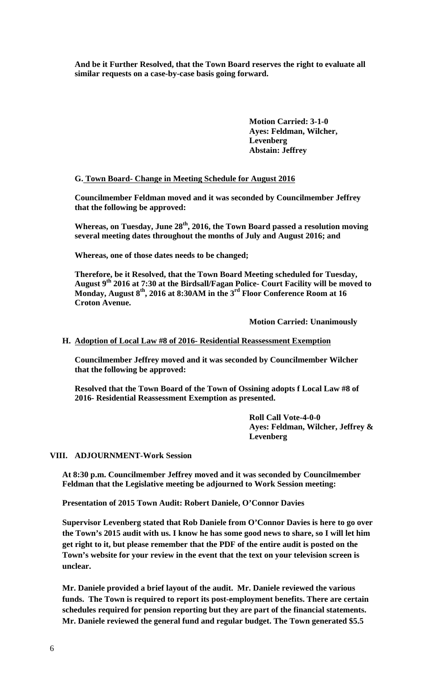**And be it Further Resolved, that the Town Board reserves the right to evaluate all similar requests on a case-by-case basis going forward.** 

> **Motion Carried: 3-1-0 Ayes: Feldman, Wilcher, Levenberg Abstain: Jeffrey**

#### **G. Town Board- Change in Meeting Schedule for August 2016**

**Councilmember Feldman moved and it was seconded by Councilmember Jeffrey that the following be approved:** 

**Whereas, on Tuesday, June 28th, 2016, the Town Board passed a resolution moving several meeting dates throughout the months of July and August 2016; and** 

**Whereas, one of those dates needs to be changed;** 

**Therefore, be it Resolved, that the Town Board Meeting scheduled for Tuesday, August 9th 2016 at 7:30 at the Birdsall/Fagan Police- Court Facility will be moved to Monday, August 8th, 2016 at 8:30AM in the 3rd Floor Conference Room at 16 Croton Avenue.** 

 **Motion Carried: Unanimously** 

#### **H. Adoption of Local Law #8 of 2016- Residential Reassessment Exemption**

**Councilmember Jeffrey moved and it was seconded by Councilmember Wilcher that the following be approved:** 

**Resolved that the Town Board of the Town of Ossining adopts f Local Law #8 of 2016- Residential Reassessment Exemption as presented.** 

> **Roll Call Vote-4-0-0 Ayes: Feldman, Wilcher, Jeffrey & Levenberg**

**VIII. ADJOURNMENT-Work Session** 

**At 8:30 p.m. Councilmember Jeffrey moved and it was seconded by Councilmember Feldman that the Legislative meeting be adjourned to Work Session meeting:** 

**Presentation of 2015 Town Audit: Robert Daniele, O'Connor Davies** 

**Supervisor Levenberg stated that Rob Daniele from O'Connor Davies is here to go over the Town's 2015 audit with us. I know he has some good news to share, so I will let him get right to it, but please remember that the PDF of the entire audit is posted on the Town's website for your review in the event that the text on your television screen is unclear.** 

**Mr. Daniele provided a brief layout of the audit. Mr. Daniele reviewed the various funds. The Town is required to report its post-employment benefits. There are certain schedules required for pension reporting but they are part of the financial statements. Mr. Daniele reviewed the general fund and regular budget. The Town generated \$5.5**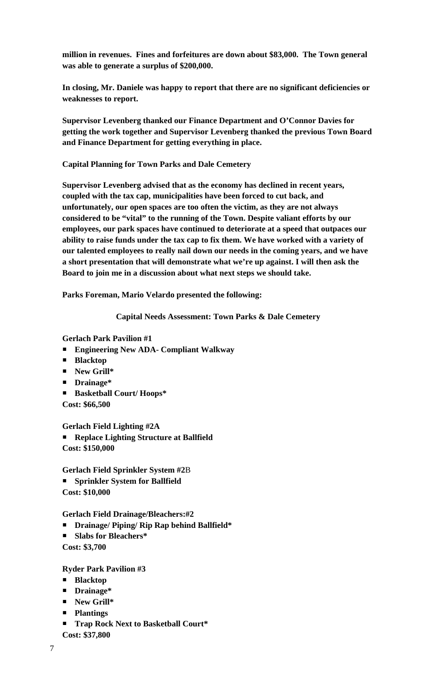**million in revenues. Fines and forfeitures are down about \$83,000. The Town general was able to generate a surplus of \$200,000.** 

**In closing, Mr. Daniele was happy to report that there are no significant deficiencies or weaknesses to report.** 

**Supervisor Levenberg thanked our Finance Department and O'Connor Davies for getting the work together and Supervisor Levenberg thanked the previous Town Board and Finance Department for getting everything in place.** 

**Capital Planning for Town Parks and Dale Cemetery** 

**Supervisor Levenberg advised that as the economy has declined in recent years, coupled with the tax cap, municipalities have been forced to cut back, and unfortunately, our open spaces are too often the victim, as they are not always considered to be "vital" to the running of the Town. Despite valiant efforts by our employees, our park spaces have continued to deteriorate at a speed that outpaces our ability to raise funds under the tax cap to fix them. We have worked with a variety of our talented employees to really nail down our needs in the coming years, and we have a short presentation that will demonstrate what we're up against. I will then ask the Board to join me in a discussion about what next steps we should take.** 

**Parks Foreman, Mario Velardo presented the following:** 

**Capital Needs Assessment: Town Parks & Dale Cemetery** 

**Gerlach Park Pavilion #1** 

- **Engineering New ADA- Compliant Walkway**
- **Blacktop**
- **New Grill\***
- **Drainage\***
- **Basketball Court/ Hoops\***
- **Cost: \$66,500**

**Gerlach Field Lighting #2A Replace Lighting Structure at Ballfield Cost: \$150,000** 

**Gerlach Field Sprinkler System #2**B

- **Sprinkler System for Ballfield**
- **Cost: \$10,000**

**Gerlach Field Drainage/Bleachers:#2** 

- **Drainage/ Piping/ Rip Rap behind Ballfield\***
- **Slabs for Bleachers\***
- **Cost: \$3,700**

**Ryder Park Pavilion #3** 

- **Blacktop**
- **Drainage\***
- **New Grill\***
- **Plantings**
- **Trap Rock Next to Basketball Court\***

**Cost: \$37,800**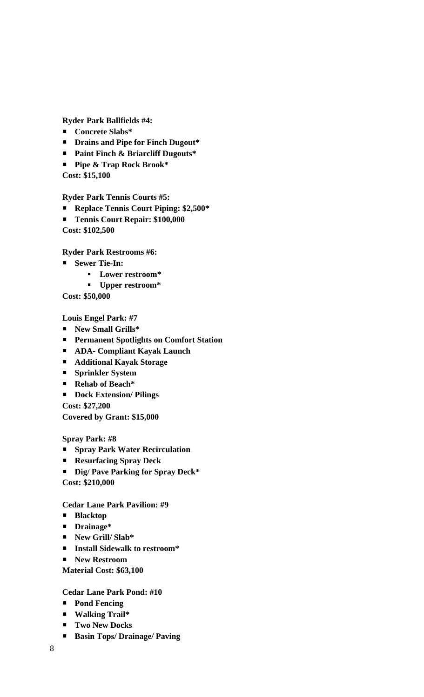**Ryder Park Ballfields #4:** 

- **Concrete Slabs\***
- **Drains and Pipe for Finch Dugout\***
- **Paint Finch & Briarcliff Dugouts\***
- **Pipe & Trap Rock Brook\***

**Cost: \$15,100** 

**Ryder Park Tennis Courts #5:** 

- **Replace Tennis Court Piping: \$2,500\***
- **Tennis Court Repair: \$100,000**

**Cost: \$102,500** 

**Ryder Park Restrooms #6:** 

- **Sewer Tie-In:** 
	- **Lower restroom\***
	- **Upper restroom\***

**Cost: \$50,000** 

**Louis Engel Park: #7** 

- **New Small Grills\***
- **Permanent Spotlights on Comfort Station**
- **ADA- Compliant Kayak Launch**
- **Additional Kayak Storage**
- **Sprinkler System**
- **Rehab of Beach\***
- **Dock Extension/ Pilings**

**Cost: \$27,200** 

**Covered by Grant: \$15,000** 

**Spray Park: #8** 

- **Spray Park Water Recirculation**
- **Resurfacing Spray Deck**
- **Dig/ Pave Parking for Spray Deck\***

**Cost: \$210,000** 

**Cedar Lane Park Pavilion: #9** 

- **Blacktop**
- **Drainage\***
- **New Grill/ Slab\***
- **Install Sidewalk to restroom\***
- **New Restroom**

**Material Cost: \$63,100** 

# **Cedar Lane Park Pond: #10**

- **Pond Fencing**
- **Walking Trail\***
- **Two New Docks**
- **Basin Tops/ Drainage/ Paving**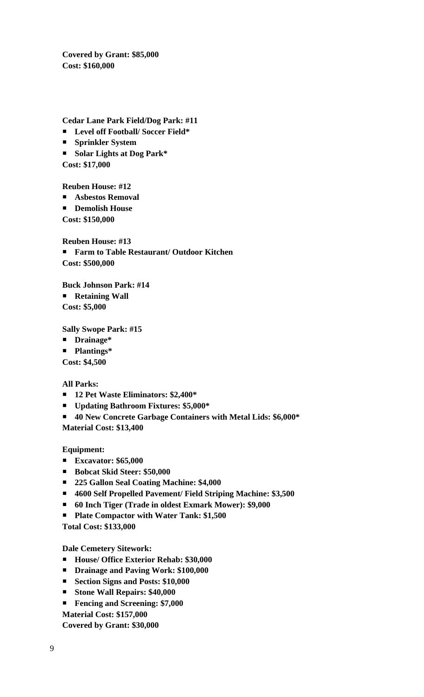**Covered by Grant: \$85,000 Cost: \$160,000** 

**Cedar Lane Park Field/Dog Park: #11** 

- **Level off Football/ Soccer Field\***
- **Sprinkler System**
- **Solar Lights at Dog Park\***

**Cost: \$17,000** 

**Reuben House: #12** 

- **Asbestos Removal**
- **Demolish House**

**Cost: \$150,000** 

**Reuben House: #13** 

 **Farm to Table Restaurant/ Outdoor Kitchen Cost: \$500,000** 

**Buck Johnson Park: #14** 

**Retaining Wall** 

**Cost: \$5,000** 

**Sally Swope Park: #15** 

- **Drainage\***
- **Plantings\***

**Cost: \$4,500** 

**All Parks:** 

- **12 Pet Waste Eliminators: \$2,400\***
- **Updating Bathroom Fixtures: \$5,000\***
- **40 New Concrete Garbage Containers with Metal Lids: \$6,000\* Material Cost: \$13,400**

**Equipment:** 

- **Excavator: \$65,000**
- **Bobcat Skid Steer: \$50,000**
- **225 Gallon Seal Coating Machine: \$4,000**
- **4600 Self Propelled Pavement/ Field Striping Machine: \$3,500**
- **60 Inch Tiger (Trade in oldest Exmark Mower): \$9,000**
- **Plate Compactor with Water Tank: \$1,500**

**Total Cost: \$133,000** 

**Dale Cemetery Sitework:** 

- **House/ Office Exterior Rehab: \$30,000**
- **Drainage and Paving Work: \$100,000**
- **Section Signs and Posts: \$10,000**
- **Stone Wall Repairs: \$40,000**
- **Fencing and Screening: \$7,000**

**Material Cost: \$157,000** 

**Covered by Grant: \$30,000**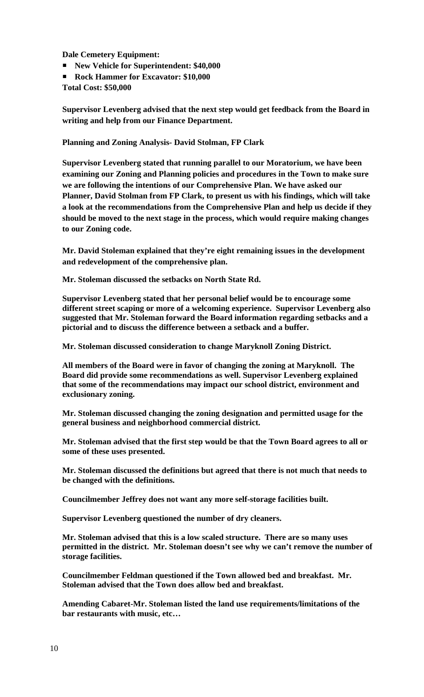**Dale Cemetery Equipment:** 

- **New Vehicle for Superintendent: \$40,000**
- Rock Hammer for Excavator: \$10,000
- **Total Cost: \$50,000**

**Supervisor Levenberg advised that the next step would get feedback from the Board in writing and help from our Finance Department.** 

**Planning and Zoning Analysis- David Stolman, FP Clark** 

**Supervisor Levenberg stated that running parallel to our Moratorium, we have been examining our Zoning and Planning policies and procedures in the Town to make sure we are following the intentions of our Comprehensive Plan. We have asked our Planner, David Stolman from FP Clark, to present us with his findings, which will take a look at the recommendations from the Comprehensive Plan and help us decide if they should be moved to the next stage in the process, which would require making changes to our Zoning code.** 

**Mr. David Stoleman explained that they're eight remaining issues in the development and redevelopment of the comprehensive plan.** 

**Mr. Stoleman discussed the setbacks on North State Rd.** 

**Supervisor Levenberg stated that her personal belief would be to encourage some different street scaping or more of a welcoming experience. Supervisor Levenberg also suggested that Mr. Stoleman forward the Board information regarding setbacks and a pictorial and to discuss the difference between a setback and a buffer.** 

**Mr. Stoleman discussed consideration to change Maryknoll Zoning District.** 

**All members of the Board were in favor of changing the zoning at Maryknoll. The Board did provide some recommendations as well. Supervisor Levenberg explained that some of the recommendations may impact our school district, environment and exclusionary zoning.** 

**Mr. Stoleman discussed changing the zoning designation and permitted usage for the general business and neighborhood commercial district.** 

**Mr. Stoleman advised that the first step would be that the Town Board agrees to all or some of these uses presented.** 

**Mr. Stoleman discussed the definitions but agreed that there is not much that needs to be changed with the definitions.** 

**Councilmember Jeffrey does not want any more self-storage facilities built.** 

**Supervisor Levenberg questioned the number of dry cleaners.** 

**Mr. Stoleman advised that this is a low scaled structure. There are so many uses permitted in the district. Mr. Stoleman doesn't see why we can't remove the number of storage facilities.** 

**Councilmember Feldman questioned if the Town allowed bed and breakfast. Mr. Stoleman advised that the Town does allow bed and breakfast.** 

**Amending Cabaret-Mr. Stoleman listed the land use requirements/limitations of the bar restaurants with music, etc…**